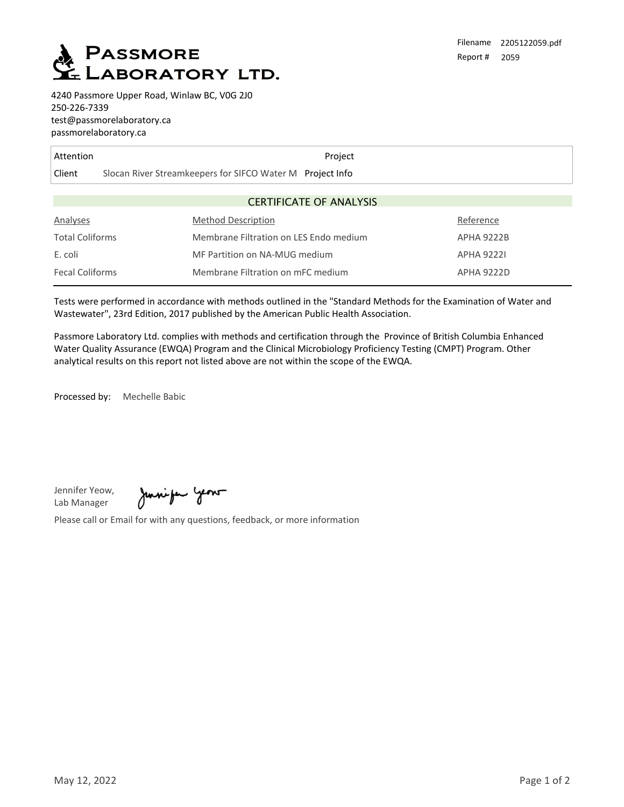

4240 Passmore Upper Road, Winlaw BC, V0G 2J0 250-226-7339 test@passmorelaboratory.ca passmorelaboratory.ca

| Attention                      |                                                           | Project                       |                   |  |  |
|--------------------------------|-----------------------------------------------------------|-------------------------------|-------------------|--|--|
| Client                         | Slocan River Streamkeepers for SIFCO Water M Project Info |                               |                   |  |  |
|                                |                                                           |                               |                   |  |  |
| <b>CERTIFICATE OF ANALYSIS</b> |                                                           |                               |                   |  |  |
| Analyses                       | <b>Method Description</b>                                 |                               | Reference         |  |  |
| <b>Total Coliforms</b>         | Membrane Filtration on LES Endo medium                    |                               | <b>APHA 9222B</b> |  |  |
| E. coli                        |                                                           | MF Partition on NA-MUG medium |                   |  |  |
| <b>Fecal Coliforms</b>         | Membrane Filtration on mFC medium                         |                               | <b>APHA 9222D</b> |  |  |

Tests were performed in accordance with methods outlined in the "Standard Methods for the Examination of Water and Wastewater", 23rd Edition, 2017 published by the American Public Health Association.

Passmore Laboratory Ltd. complies with methods and certification through the Province of British Columbia Enhanced Water Quality Assurance (EWQA) Program and the Clinical Microbiology Proficiency Testing (CMPT) Program. Other analytical results on this report not listed above are not within the scope of the EWQA.

Processed by: Mechelle Babic

Jennifer Yeow, Lab Manager

Juniper years

Please call or Email for with any questions, feedback, or more information